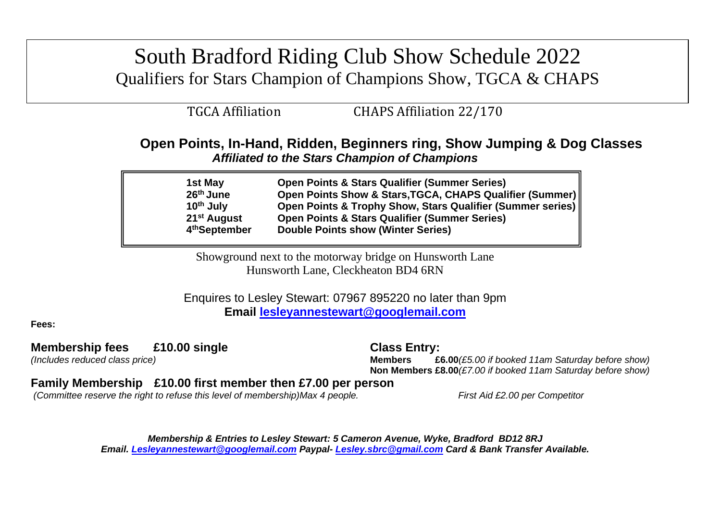# South Bradford Riding Club Show Schedule 2022 Qualifiers for Stars Champion of Champions Show, TGCA & CHAPS

TGCA Affiliation CHAPS Affiliation 22/170

## **Open Points, In-Hand, Ridden, Beginners ring, Show Jumping & Dog Classes** *Affiliated to the Stars Champion of Champions*

| 1st May                   | <b>Open Points &amp; Stars Qualifier (Summer Series)</b>   |
|---------------------------|------------------------------------------------------------|
| 26 <sup>th</sup> June     | Open Points Show & Stars, TGCA, CHAPS Qualifier (Summer)   |
| 10 <sup>th</sup> July     | Open Points & Trophy Show, Stars Qualifier (Summer series) |
| 21 <sup>st</sup> August   | <b>Open Points &amp; Stars Qualifier (Summer Series)</b>   |
| 4 <sup>th</sup> September | <b>Double Points show (Winter Series)</b>                  |

Showground next to the motorway bridge on Hunsworth Lane Hunsworth Lane, Cleckheaton BD4 6RN

#### Enquires to Lesley Stewart: 07967 895220 no later than 9pm **Email [lesleyannestewart@googlemail.com](mailto:lesleyannestewart@googlemail.com)**

#### **Fees:**

### **Membership fees** £10.00 single **Class Entry:**

*(Includes reduced class price)* **Members £6.00***(£5.00 if booked 11am Saturday before show)* **Non Members £8.00***(£7.00 if booked 11am Saturday before show)*

### **Family Membership £10.00 first member then £7.00 per person**

*(Committee reserve the right to refuse this level of membership)Max 4 people.* First Aid £2.00 per Competitor

*Membership & Entries to Lesley Stewart: 5 Cameron Avenue, Wyke, Bradford BD12 8RJ Email. [Lesleyannestewart@googlemail.com](mailto:Lesleyannestewart@googlemail.com) Paypal- [Lesley.sbrc@gmail.com](mailto:Lesley.sbrc@gmail.com) Card & Bank Transfer Available.*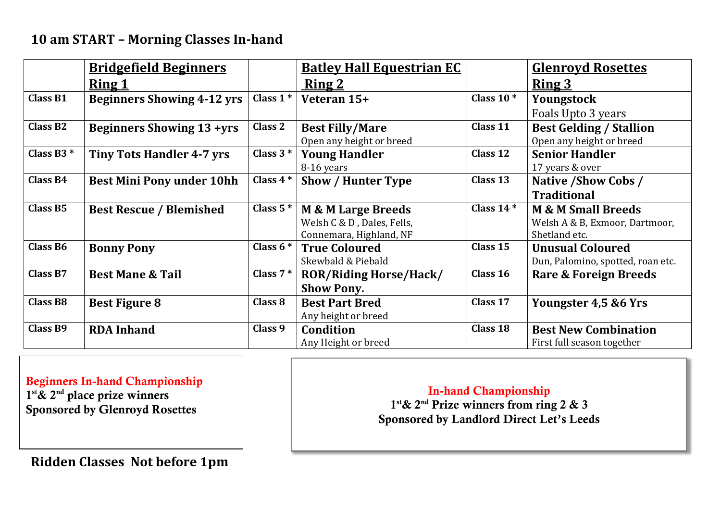|                 | <b>Bridgefield Beginners</b>      |            | <b>Batley Hall Equestrian EC</b> |              | <b>Glenroyd Rosettes</b>          |
|-----------------|-----------------------------------|------------|----------------------------------|--------------|-----------------------------------|
|                 | <b>Ring 1</b>                     |            | <u>Ring 2</u>                    |              | <u>Ring 3</u>                     |
| <b>Class B1</b> | <b>Beginners Showing 4-12 yrs</b> | Class $1*$ | Veteran 15+                      | Class 10 $*$ | Youngstock                        |
|                 |                                   |            |                                  |              | Foals Upto 3 years                |
| <b>Class B2</b> | <b>Beginners Showing 13 +yrs</b>  | Class 2    | <b>Best Filly/Mare</b>           | Class 11     | <b>Best Gelding / Stallion</b>    |
|                 |                                   |            | Open any height or breed         |              | Open any height or breed          |
| Class B3 $*$    | <b>Tiny Tots Handler 4-7 yrs</b>  | Class $3*$ | <b>Young Handler</b>             | Class 12     | <b>Senior Handler</b>             |
|                 |                                   |            | 8-16 years                       |              | 17 years & over                   |
| <b>Class B4</b> | <b>Best Mini Pony under 10hh</b>  | Class $4*$ | <b>Show / Hunter Type</b>        | Class 13     | Native / Show Cobs /              |
|                 |                                   |            |                                  |              | <b>Traditional</b>                |
| Class B5        | <b>Best Rescue / Blemished</b>    | Class $5*$ | <b>M &amp; M Large Breeds</b>    | Class $14*$  | <b>M &amp; M Small Breeds</b>     |
|                 |                                   |            | Welsh C & D, Dales, Fells,       |              | Welsh A & B, Exmoor, Dartmoor,    |
|                 |                                   |            | Connemara, Highland, NF          |              | Shetland etc.                     |
| <b>Class B6</b> | <b>Bonny Pony</b>                 | Class $6*$ | <b>True Coloured</b>             | Class 15     | <b>Unusual Coloured</b>           |
|                 |                                   |            | Skewbald & Piebald               |              | Dun, Palomino, spotted, roan etc. |
| Class B7        | <b>Best Mane &amp; Tail</b>       | Class $7*$ | <b>ROR/Riding Horse/Hack/</b>    | Class 16     | <b>Rare &amp; Foreign Breeds</b>  |
|                 |                                   |            | <b>Show Pony.</b>                |              |                                   |
| <b>Class B8</b> | <b>Best Figure 8</b>              | Class 8    | <b>Best Part Bred</b>            | Class 17     | Youngster 4,5 & 6 Yrs             |
|                 |                                   |            | Any height or breed              |              |                                   |
| <b>Class B9</b> | <b>RDA Inhand</b>                 | Class 9    | <b>Condition</b>                 | Class 18     | <b>Best New Combination</b>       |
|                 |                                   |            | Any Height or breed              |              | First full season together        |

Beginners In-hand Championship 1<sup>st</sup>& 2<sup>nd</sup> place prize winners Sponsored by Glenroyd Rosettes

**Ridden Classes Not before 1pm**

In-hand Championship 1<sup>st</sup>& 2<sup>nd</sup> Prize winners from ring 2 & 3 Sponsored by Landlord Direct Let's Leeds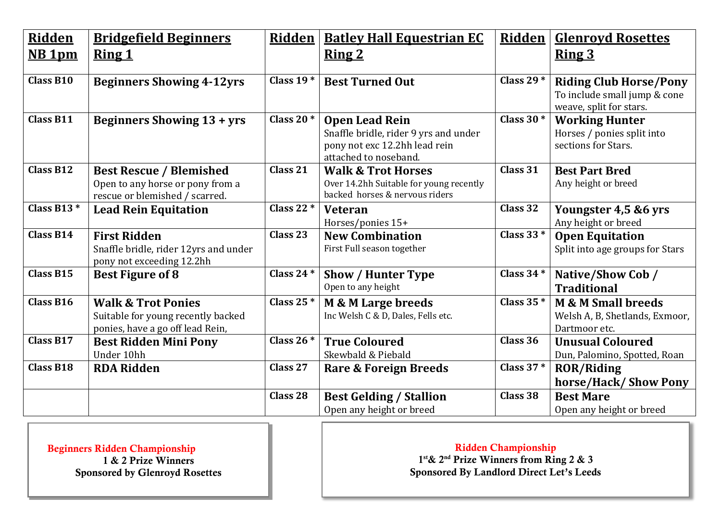| Ridden            | <b>Bridgefield Beginners</b>                                       | Ridden       | <b>Batley Hall Equestrian EC</b>                       | Ridden       | <b>Glenroyd Rosettes</b>        |
|-------------------|--------------------------------------------------------------------|--------------|--------------------------------------------------------|--------------|---------------------------------|
| NB <sub>1pm</sub> | <b>Ring 1</b>                                                      |              | <u>Ring 2</u>                                          |              | Ring 3                          |
|                   |                                                                    |              |                                                        |              |                                 |
| <b>Class B10</b>  | <b>Beginners Showing 4-12yrs</b>                                   | Class 19 $*$ | <b>Best Turned Out</b>                                 | Class 29 $*$ | <b>Riding Club Horse/Pony</b>   |
|                   |                                                                    |              |                                                        |              | To include small jump & cone    |
|                   |                                                                    |              |                                                        |              | weave, split for stars.         |
| <b>Class B11</b>  | <b>Beginners Showing 13 + yrs</b>                                  | Class 20 $*$ | <b>Open Lead Rein</b>                                  | Class 30 $*$ | <b>Working Hunter</b>           |
|                   |                                                                    |              | Snaffle bridle, rider 9 yrs and under                  |              | Horses / ponies split into      |
|                   |                                                                    |              | pony not exc 12.2hh lead rein<br>attached to noseband. |              | sections for Stars.             |
| <b>Class B12</b>  |                                                                    | Class 21     | <b>Walk &amp; Trot Horses</b>                          | Class 31     | <b>Best Part Bred</b>           |
|                   | <b>Best Rescue / Blemished</b>                                     |              | Over 14.2hh Suitable for young recently                |              | Any height or breed             |
|                   | Open to any horse or pony from a<br>rescue or blemished / scarred. |              | backed horses & nervous riders                         |              |                                 |
| Class B13 $*$     | <b>Lead Rein Equitation</b>                                        | Class 22 $*$ | <b>Veteran</b>                                         | Class 32     | Youngster 4,5 &6 yrs            |
|                   |                                                                    |              | Horses/ponies 15+                                      |              | Any height or breed             |
| <b>Class B14</b>  | <b>First Ridden</b>                                                | Class 23     | <b>New Combination</b>                                 | Class 33 $*$ | <b>Open Equitation</b>          |
|                   | Snaffle bridle, rider 12yrs and under                              |              | First Full season together                             |              | Split into age groups for Stars |
|                   | pony not exceeding 12.2hh                                          |              |                                                        |              |                                 |
| <b>Class B15</b>  | <b>Best Figure of 8</b>                                            | Class 24 $*$ | <b>Show / Hunter Type</b>                              | Class 34*    | Native/Show Cob /               |
|                   |                                                                    |              | Open to any height                                     |              | <b>Traditional</b>              |
| <b>Class B16</b>  | <b>Walk &amp; Trot Ponies</b>                                      | Class 25 $*$ | <b>M &amp; M Large breeds</b>                          | Class 35 $*$ | <b>M &amp; M Small breeds</b>   |
|                   | Suitable for young recently backed                                 |              | Inc Welsh C & D, Dales, Fells etc.                     |              | Welsh A, B, Shetlands, Exmoor,  |
|                   | ponies, have a go off lead Rein,                                   |              |                                                        |              | Dartmoor etc.                   |
| <b>Class B17</b>  | <b>Best Ridden Mini Pony</b>                                       | Class 26 $*$ | <b>True Coloured</b>                                   | Class 36     | <b>Unusual Coloured</b>         |
|                   | Under 10hh                                                         |              | Skewbald & Piebald                                     |              | Dun, Palomino, Spotted, Roan    |
| <b>Class B18</b>  | <b>RDA Ridden</b>                                                  | Class 27     | <b>Rare &amp; Foreign Breeds</b>                       | Class $37*$  | <b>ROR/Riding</b>               |
|                   |                                                                    |              |                                                        |              | horse/Hack/Show Pony            |
|                   |                                                                    | Class 28     | <b>Best Gelding / Stallion</b>                         | Class 38     | <b>Best Mare</b>                |
|                   |                                                                    |              | Open any height or breed                               |              | Open any height or breed        |

Beginners Ridden Championship 1 & 2 Prize Winners Sponsored by Glenroyd Rosettes Ridden Championship

1 st& 2nd Prize Winners from Ring 2 & 3 Sponsored By Landlord Direct Let's Leeds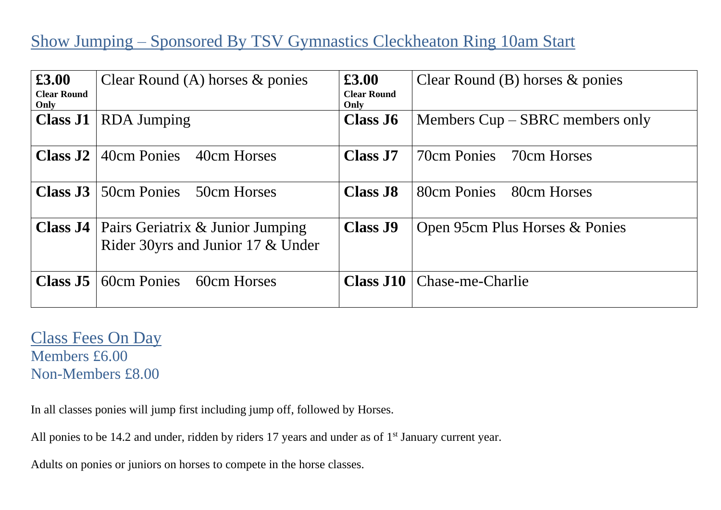## Show Jumping – Sponsored By TSV Gymnastics Cleckheaton Ring 10am Start

| £3.00<br><b>Clear Round</b><br>Only | Clear Round (A) horses $\&$ ponies                                     | £3.00<br><b>Clear Round</b><br>Only | Clear Round (B) horses $\&$ ponies  |
|-------------------------------------|------------------------------------------------------------------------|-------------------------------------|-------------------------------------|
| Class J1                            | <b>RDA Jumping</b>                                                     | Class J6                            | Members Cup – SBRC members only     |
| Class J2                            | 40cm Ponies<br>40cm Horses                                             | Class J7                            | 70cm Ponies<br>70cm Horses          |
| Class $J3$                          | 50cm Ponies<br>50cm Horses                                             | Class J8                            | 80cm Ponies<br>80cm Horses          |
| Class $J4$                          | Pairs Geriatrix & Junior Jumping<br>Rider 30 yrs and Junior 17 & Under | <b>Class J9</b>                     | Open 95cm Plus Horses & Ponies      |
| Class J5                            | 60cm Ponies<br>60cm Horses                                             |                                     | <b>Class J10</b>   Chase-me-Charlie |

Class Fees On Day Members £6.00 Non-Members £8.00

In all classes ponies will jump first including jump off, followed by Horses.

All ponies to be 14.2 and under, ridden by riders 17 years and under as of 1<sup>st</sup> January current year.

Adults on ponies or juniors on horses to compete in the horse classes.